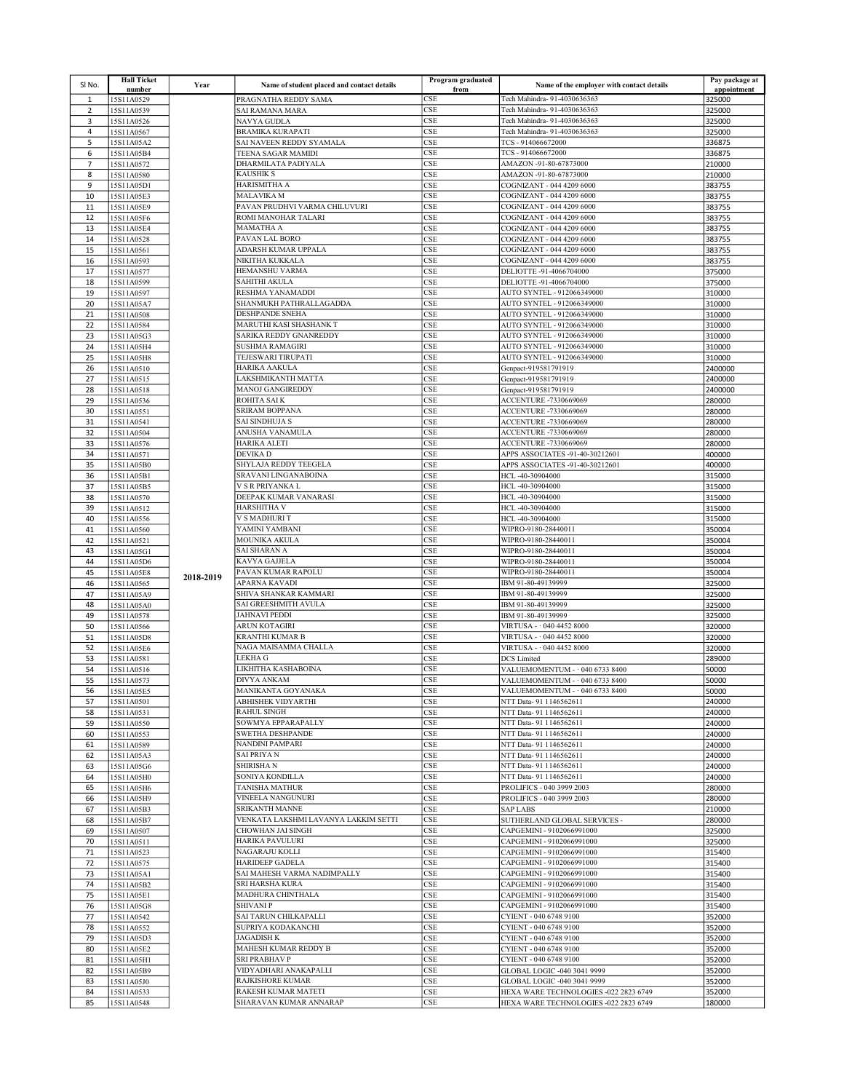| SINO.               | <b>Hall Ticket</b><br>number | Year      | Name of student placed and contact details    | Program graduated<br>from | Name of the employer with contact details              | Pay package at<br>appointment |
|---------------------|------------------------------|-----------|-----------------------------------------------|---------------------------|--------------------------------------------------------|-------------------------------|
| 1                   | 15S11A0529                   |           | PRAGNATHA REDDY SAMA                          | <b>CSE</b>                | Tech Mahindra- 91-4030636363                           | 325000                        |
| $\overline{2}$      | 15S11A0539                   |           | SAI RAMANA MARA                               | CSE                       | Tech Mahindra- 91-4030636363                           | 325000                        |
| 3                   | 15S11A0526                   |           | NAVYA GUDLA                                   | CSE                       | Tech Mahindra- 91-4030636363                           | 325000                        |
| 4                   | 15S11A0567                   |           | <b>BRAMIKA KURAPATI</b>                       | <b>CSE</b>                | Tech Mahindra- 91-4030636363                           | 325000                        |
| 5                   | 15S11A05A2                   |           | SAI NAVEEN REDDY SYAMALA                      | <b>CSE</b>                | TCS-914066672000                                       | 336875                        |
| 6<br>$\overline{7}$ | 15S11A05B4<br>15S11A0572     |           | TEENA SAGAR MAMIDI<br>DHARMILATA PADIYALA     | <b>CSE</b><br>CSE         | TCS-914066672000<br>AMAZON -91-80-67873000             | 336875<br>210000              |
| 8                   | 15S11A0580                   |           | <b>KAUSHIK S</b>                              | CSE                       | AMAZON -91-80-67873000                                 | 210000                        |
| 9                   | 15S11A05D1                   |           | HARISMITHA A                                  | <b>CSE</b>                | COGNIZANT - 044 4209 6000                              | 383755                        |
| 10                  | 15S11A05E3                   |           | <b>MALAVIKA M</b>                             | <b>CSE</b>                | COGNIZANT - 044 4209 6000                              | 383755                        |
| 11                  | 15S11A05E9                   |           | PAVAN PRUDHVI VARMA CHILUVURI                 | <b>CSE</b>                | COGNIZANT - 044 4209 6000                              | 383755                        |
| 12                  | 15S11A05F6                   |           | ROMI MANOHAR TALARI                           | CSE                       | COGNIZANT - 044 4209 6000                              | 383755                        |
| 13                  | 15S11A05E4                   |           | <b>MAMATHA A</b>                              | CSE                       | COGNIZANT - 044 4209 6000                              | 383755                        |
| 14                  | 15S11A0528                   |           | PAVAN LAL BORO                                | CSE                       | COGNIZANT - 044 4209 6000                              | 383755                        |
| 15                  | 15S11A0561                   |           | ADARSH KUMAR UPPALA<br>NIKITHA KUKKALA        | <b>CSE</b>                | COGNIZANT - 044 4209 6000                              | 383755                        |
| 16                  | 15S11A0593                   |           | HEMANSHU VARMA                                | CSE<br>CSE                | COGNIZANT - 044 4209 6000                              | 383755                        |
| 17<br>18            | 15S11A0577<br>15S11A0599     |           | SAHITHI AKULA                                 | CSE                       | DELIOTTE -91-4066704000<br>DELIOTTE -91-4066704000     | 375000<br>375000              |
| 19                  | 15S11A0597                   |           | RESHMA YANAMADDI                              | <b>CSE</b>                | AUTO SYNTEL - 912066349000                             | 310000                        |
| 20                  | 15S11A05A7                   |           | SHANMUKH PATHRALLAGADDA                       | <b>CSE</b>                | AUTO SYNTEL - 912066349000                             | 310000                        |
| 21                  | 15S11A0508                   |           | <b>DESHPANDE SNEHA</b>                        | <b>CSE</b>                | AUTO SYNTEL - 912066349000                             | 310000                        |
| 22                  | 15S11A0584                   |           | MARUTHI KASI SHASHANK T                       | CSE                       | AUTO SYNTEL - 912066349000                             | 310000                        |
| 23                  | 15S11A05G3                   |           | SARIKA REDDY GNANREDDY                        | CSE                       | AUTO SYNTEL - 912066349000                             | 310000                        |
| 24                  | 15S11A05H4                   |           | <b>SUSHMA RAMAGIRI</b>                        | <b>CSE</b>                | AUTO SYNTEL - 912066349000                             | 310000                        |
| 25                  | 15S11A05H8                   |           | TEJESWARI TIRUPATI                            | <b>CSE</b>                | AUTO SYNTEL - 912066349000                             | 310000                        |
| 26                  | 15S11A0510                   |           | HARIKA AAKULA                                 | <b>CSE</b>                | Genpact-919581791919                                   | 2400000                       |
| 27<br>28            | 15S11A0515                   |           | LAKSHMIKANTH MATTA<br><b>MANOJ GANGIREDDY</b> | CSE                       | Genpact-919581791919                                   | 2400000                       |
| 29                  | 15S11A0518<br>15S11A0536     |           | ROHITA SAI K                                  | CSE<br><b>CSE</b>         | Genpact-919581791919<br>ACCENTURE -7330669069          | 2400000<br>280000             |
| 30                  | 15S11A0551                   |           | SRIRAM BOPPANA                                | <b>CSE</b>                | ACCENTURE -7330669069                                  | 280000                        |
| 31                  | 15S11A0541                   |           | <b>SAI SINDHUJA S</b>                         | <b>CSE</b>                | ACCENTURE -7330669069                                  | 280000                        |
| 32                  | 15S11A0504                   |           | ANUSHA VANAMULA                               | CSE                       | ACCENTURE -7330669069                                  | 280000                        |
| 33                  | 15S11A0576                   |           | HARIKA ALETI                                  | CSE                       | ACCENTURE -7330669069                                  | 280000                        |
| 34                  | 15S11A0571                   |           | DEVIKA D                                      | <b>CSE</b>                | APPS ASSOCIATES -91-40-30212601                        | 400000                        |
| 35                  | 15S11A05B0                   |           | SHYLAJA REDDY TEEGELA                         | <b>CSE</b>                | APPS ASSOCIATES -91-40-30212601                        | 400000                        |
| 36                  | 15S11A05B1                   |           | SRAVANI LINGANABOINA                          | <b>CSE</b>                | HCL-40-30904000                                        | 315000                        |
| 37                  | 15S11A05B5                   |           | V S R PRIYANKA L                              | CSE                       | HCL-40-30904000                                        | 315000                        |
| 38<br>39            | 15S11A0570<br>15S11A0512     |           | DEEPAK KUMAR VANARASI<br><b>HARSHITHA V</b>   | CSE<br><b>CSE</b>         | HCL-40-30904000<br>HCL-40-30904000                     | 315000<br>315000              |
| 40                  | 15S11A0556                   |           | V S MADHURI T                                 | <b>CSE</b>                | HCL-40-30904000                                        | 315000                        |
| 41                  | 15S11A0560                   |           | YAMINI YAMBANI                                | CSE                       | WIPRO-9180-28440011                                    | 350004                        |
| 42                  | 15S11A0521                   |           | MOUNIKA AKULA                                 | CSE                       | WIPRO-9180-28440011                                    | 350004                        |
| 43                  | 15S11A05G1                   |           | SAI SHARAN A                                  | CSE                       | WIPRO-9180-28440011                                    | 350004                        |
| 44                  | 15S11A05D6                   |           | KAVYA GAJJELA                                 | CSE                       | WIPRO-9180-28440011                                    | 350004                        |
| 45                  | 15S11A05E8                   | 2018-2019 | PAVAN KUMAR RAPOLU                            | <b>CSE</b>                | WIPRO-9180-28440011                                    | 350004                        |
| 46                  | 15S11A0565                   |           | APARNA KAVADI                                 | CSE                       | IBM 91-80-49139999                                     | 325000                        |
| 47                  | 15S11A05A9                   |           | SHIVA SHANKAR KAMMARI                         | CSE                       | IBM 91-80-49139999                                     | 325000                        |
| 48                  | 15S11A05A0<br>15S11A0578     |           | SAI GREESHMITH AVULA<br><b>JAHNAVI PEDDI</b>  | CSE                       | IBM 91-80-49139999                                     | 325000                        |
| 49<br>50            | 15S11A0566                   |           | ARUN KOTAGIRI                                 | <b>CSE</b><br><b>CSE</b>  | IBM 91-80-49139999<br>VIRTUSA - 040 4452 8000          | 325000<br>320000              |
| 51                  | 15S11A05D8                   |           | KRANTHI KUMAR B                               | <b>CSE</b>                | VIRTUSA - 040 4452 8000                                | 320000                        |
| 52                  | 15S11A05E6                   |           | NAGA MAISAMMA CHALLA                          | CSE                       | VIRTUSA - 040 4452 8000                                | 320000                        |
| 53                  | 15S11A0581                   |           | <b>LEKHA G</b>                                | CSE                       | <b>DCS</b> Limited                                     | 289000                        |
| 54                  | 15S11A0516                   |           | LIKHITHA KASHABOINA                           | CSE                       | VALUEMOMENTUM - 040 6733 8400                          | 50000                         |
| 55                  | 15S11A0573                   |           | DIVYA ANKAM                                   | <b>CSE</b>                | VALUEMOMENTUM - 040 6733 8400                          | 50000                         |
| 56                  | 15S11A05E5                   |           | MANIKANTA GOYANAKA                            | CSE                       | VALUEMOMENTUM - 040 6733 8400                          | 50000                         |
| 57                  | 15S11A0501                   |           | ABHISHEK VIDYARTHI                            | CSE                       | NTT Data- 91 1146562611                                | 240000                        |
| 58                  | 15S11A0531                   |           | <b>RAHUL SINGH</b>                            | CSE                       | NTT Data- 91 1146562611                                | 240000                        |
| 59                  | 15S11A0550                   |           | SOWMYA EPPARAPALLY<br><b>SWETHA DESHPANDE</b> | CSE<br>CSE                | NTT Data- 91 1146562611<br>NTT Data- 91 1146562611     | 240000                        |
| 60<br>61            | 15S11A0553<br>15S11A0589     |           | <b>NANDINI PAMPARI</b>                        | <b>CSE</b>                | NTT Data- 91 1146562611                                | 240000<br>240000              |
| 62                  | 15S11A05A3                   |           | <b>SAI PRIYA N</b>                            | CSE                       | NTT Data- 91 1146562611                                | 240000                        |
| 63                  | 15S11A05G6                   |           | <b>SHIRISHAN</b>                              | CSE                       | NTT Data- 91 1146562611                                | 240000                        |
| 64                  | 15S11A05H0                   |           | SONIYA KONDILLA                               | <b>CSE</b>                | NTT Data- 91 1146562611                                | 240000                        |
| 65                  | 15S11A05H6                   |           | TANISHA MATHUR                                | CSE                       | PROLIFICS - 040 3999 2003                              | 280000                        |
| 66                  | 15S11A05H9                   |           | VINEELA NANGUNURI                             | CSE                       | PROLIFICS - 040 3999 2003                              | 280000                        |
| 67                  | 15S11A05B3                   |           | SRIKANTH MANNE                                | CSE                       | <b>SAP LABS</b>                                        | 210000                        |
| 68                  | 15S11A05B7                   |           | VENKATA LAKSHMI LAVANYA LAKKIM SETTI          | CSE                       | SUTHERLAND GLOBAL SERVICES -                           | 280000                        |
| 69                  | 15S11A0507                   |           | CHOWHAN JAI SINGH                             | CSE                       | CAPGEMINI - 9102066991000                              | 325000                        |
| 70<br>71            | 15S11A0511                   |           | <b>HARIKA PAVULURI</b><br>NAGARAJU KOLLI      | CSE<br><b>CSE</b>         | CAPGEMINI - 9102066991000<br>CAPGEMINI - 9102066991000 | 325000<br>315400              |
| 72                  | 15S11A0523<br>15S11A0575     |           | <b>HARIDEEP GADELA</b>                        | CSE                       | CAPGEMINI - 9102066991000                              | 315400                        |
| 73                  | 15S11A05A1                   |           | SAI MAHESH VARMA NADIMPALLY                   | CSE                       | CAPGEMINI - 9102066991000                              | 315400                        |
| 74                  | 15S11A05B2                   |           | SRI HARSHA KURA                               | <b>CSE</b>                | CAPGEMINI - 9102066991000                              | 315400                        |
| 75                  | 15S11A05E1                   |           | MADHURA CHINTHALA                             | <b>CSE</b>                | CAPGEMINI - 9102066991000                              | 315400                        |
| 76                  | 15S11A05G8                   |           | <b>SHIVANIP</b>                               | CSE                       | CAPGEMINI - 9102066991000                              | 315400                        |
| 77                  | 15S11A0542                   |           | SAI TARUN CHILKAPALLI                         | CSE                       | CYIENT - 040 6748 9100                                 | 352000                        |
| 78                  | 15S11A0552                   |           | SUPRIYA KODAKANCHI                            | CSE                       | CYIENT - 040 6748 9100                                 | 352000                        |
| 79                  | 15S11A05D3                   |           | <b>JAGADISH K</b>                             | <b>CSE</b>                | CYIENT - 040 6748 9100                                 | 352000                        |
| 80                  | 15S11A05E2                   |           | MAHESH KUMAR REDDY B<br>SRI PRABHAV P         | CSE                       | CYIENT - 040 6748 9100                                 | 352000                        |
| 81                  | 15S11A05H1                   |           | VIDYADHARI ANAKAPALLI                         | CSE<br>CSE                | CYIENT - 040 6748 9100<br>GLOBAL LOGIC -040 3041 9999  | 352000                        |
| 82<br>83            | 15S11A05B9<br>15S11A05J0     |           | <b>RAJKISHORE KUMAR</b>                       | CSE                       | GLOBAL LOGIC -040 3041 9999                            | 352000<br>352000              |
| 84                  | 15S11A0533                   |           | RAKESH KUMAR MATETI                           | CSE                       | HEXA WARE TECHNOLOGIES -022 2823 6749                  | 352000                        |
| 85                  | 15S11A0548                   |           | SHARAVAN KUMAR ANNARAP                        | CSE                       | HEXA WARE TECHNOLOGIES -022 2823 6749                  | 180000                        |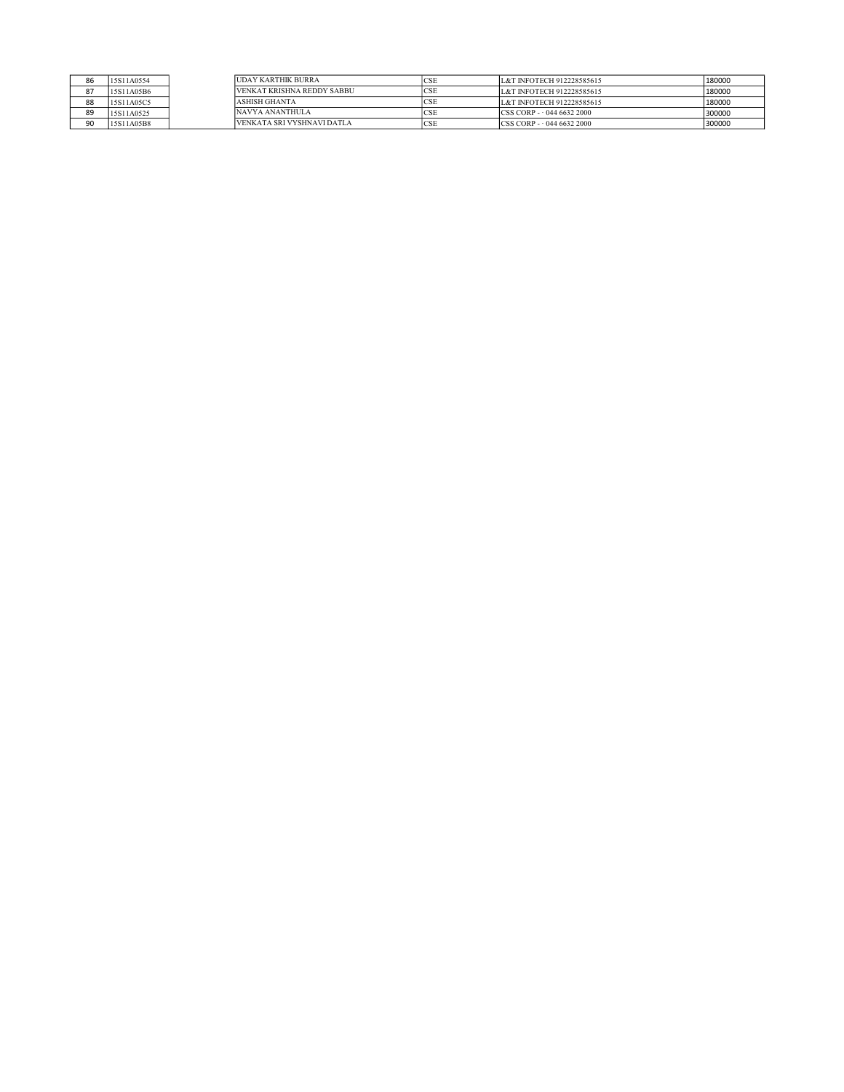| 86 | 15S11A0554 | <b>IUDAY KARTHIK BURRA</b> | <sub>CSE</sub> | L&T INFOTECH 912228585615           | 180000 |
|----|------------|----------------------------|----------------|-------------------------------------|--------|
| 87 | 15S11A05B6 | VENKAT KRISHNA REDDY SABBU | <b>CSE</b>     | L&T INFOTECH 912228585615           | 180000 |
| 88 | 15S11A05C5 | <b>ASHISH GHANTA</b>       | <b>ICSE</b>    | L&T INFOTECH 912228585615           | 180000 |
| 89 | 15S11A0525 | NAVYA ANANTHULA            | <b>ICSE</b>    | $CCSS CORP - 04466322000$           | 300000 |
| 90 | 15S11A05B8 | VENKATA SRI VYSHNAVI DATLA | <b>ICSE</b>    | $\text{CCSS COP} - 044\,6632\,2000$ | 300000 |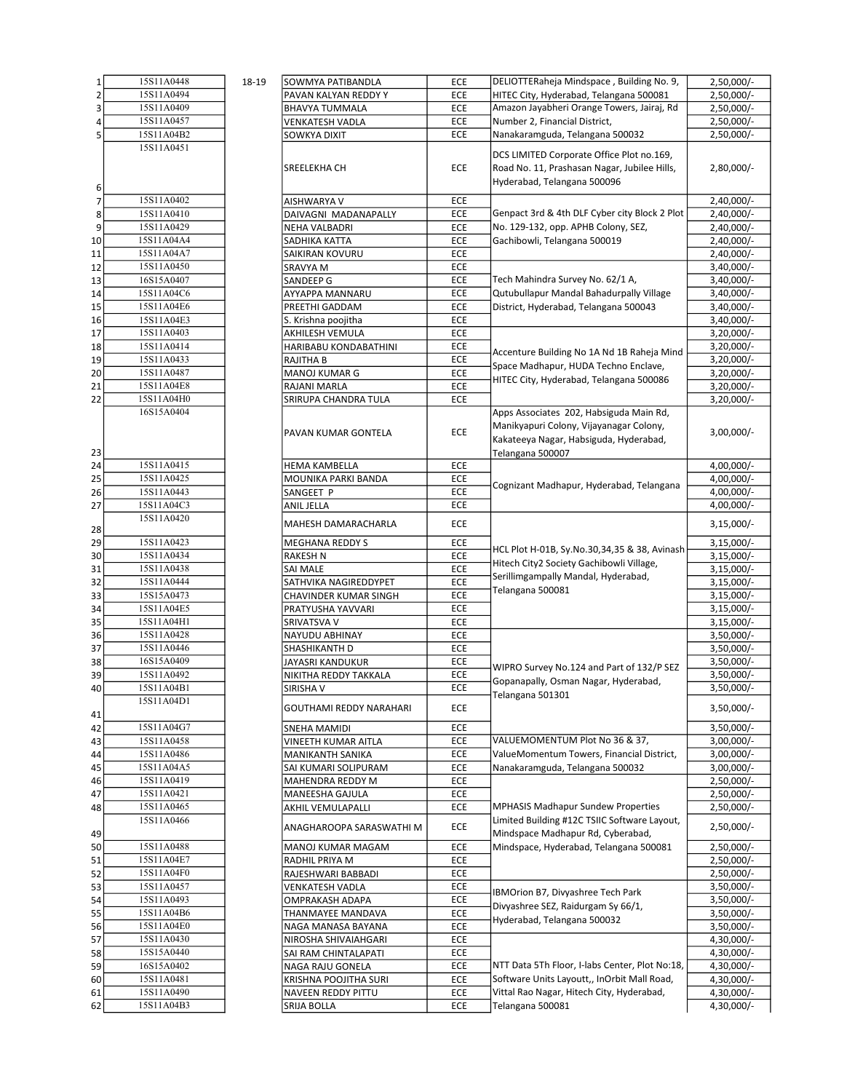| 1              | 15S11A0448 | 18-19 | SOWMYA PATIBANDLA        | ECE        | DELIOTTERaheja Mindspace, Building No. 9,      | $2,50,000/-$ |
|----------------|------------|-------|--------------------------|------------|------------------------------------------------|--------------|
| $\overline{2}$ | 15S11A0494 |       | PAVAN KALYAN REDDY Y     | ECE        | HITEC City, Hyderabad, Telangana 500081        | 2,50,000/-   |
| 3              | 15S11A0409 |       | BHAVYA TUMMALA           | ECE        | Amazon Jayabheri Orange Towers, Jairaj, Rd     | 2,50,000/-   |
|                | 15S11A0457 |       | VENKATESH VADLA          | ECE        | Number 2, Financial District,                  | 2,50,000/-   |
| 5              | 15S11A04B2 |       | SOWKYA DIXIT             | ECE        | Nanakaramguda, Telangana 500032                | 2,50,000/-   |
|                | 15S11A0451 |       |                          |            |                                                |              |
|                |            |       |                          |            | DCS LIMITED Corporate Office Plot no.169,      |              |
|                |            |       | SREELEKHA CH             | <b>ECE</b> | Road No. 11, Prashasan Nagar, Jubilee Hills,   | 2,80,000/-   |
|                |            |       |                          |            | Hyderabad, Telangana 500096                    |              |
| 6              |            |       |                          |            |                                                |              |
| 7              | 15S11A0402 |       | AISHWARYA V              | ECE        |                                                | 2,40,000/-   |
| 8              | 15S11A0410 |       | DAIVAGNI MADANAPALLY     | ECE        | Genpact 3rd & 4th DLF Cyber city Block 2 Plot  | 2,40,000/-   |
| 9              | 15S11A0429 |       | NEHA VALBADRI            | ECE        | No. 129-132, opp. APHB Colony, SEZ,            | 2,40,000/-   |
| 10             | 15S11A04A4 |       | SADHIKA KATTA            | ECE        | Gachibowli, Telangana 500019                   | 2,40,000/-   |
| 11             | 15S11A04A7 |       | SAIKIRAN KOVURU          | ECE        |                                                | 2,40,000/-   |
| 12             | 15S11A0450 |       | SRAVYA M                 | ECE        |                                                | $3,40,000/-$ |
| 13             | 16S15A0407 |       | SANDEEP G                | ECE        | Tech Mahindra Survey No. 62/1 A,               | $3,40,000/-$ |
| 14             | 15S11A04C6 |       | AYYAPPA MANNARU          | ECE        | Qutubullapur Mandal Bahadurpally Village       | $3,40,000/-$ |
| 15             | 15S11A04E6 |       | PREETHI GADDAM           | ECE        | District, Hyderabad, Telangana 500043          | $3,40,000/-$ |
|                |            |       |                          |            |                                                |              |
| 16             | 15S11A04E3 |       | S. Krishna poojitha      | ECE        |                                                | $3,40,000/-$ |
| 17             | 15S11A0403 |       | AKHILESH VEMULA          | ECE        |                                                | 3,20,000/-   |
| 18             | 15S11A0414 |       | HARIBABU KONDABATHINI    | ECE        | Accenture Building No 1A Nd 1B Raheja Mind     | $3,20,000/-$ |
| 19             | 15S11A0433 |       | RAJITHA B                | <b>ECE</b> | Space Madhapur, HUDA Techno Enclave,           | $3,20,000/-$ |
| 20             | 15S11A0487 |       | MANOJ KUMAR G            | ECE        | HITEC City, Hyderabad, Telangana 500086        | $3,20,000/-$ |
| 21             | 15S11A04E8 |       | RAJANI MARLA             | ECE        |                                                | $3,20,000/-$ |
| 22             | 15S11A04H0 |       | SRIRUPA CHANDRA TULA     | ECE        |                                                | 3,20,000/-   |
|                | 16S15A0404 |       |                          |            | Apps Associates 202, Habsiguda Main Rd,        |              |
|                |            |       |                          |            | Manikyapuri Colony, Vijayanagar Colony,        |              |
|                |            |       | PAVAN KUMAR GONTELA      | ECE        | Kakateeya Nagar, Habsiguda, Hyderabad,         | $3,00,000/-$ |
|                |            |       |                          |            |                                                |              |
| 23             | 15S11A0415 |       |                          |            | Telangana 500007                               |              |
| 24             |            |       | HEMA KAMBELLA            | ECE        |                                                | 4,00,000/-   |
| 25             | 15S11A0425 |       | MOUNIKA PARKI BANDA      | ECE        | Cognizant Madhapur, Hyderabad, Telangana       | 4,00,000/-   |
| 26             | 15S11A0443 |       | SANGEET P                | <b>ECE</b> |                                                | 4,00,000/-   |
| 27             | 15S11A04C3 |       | ANIL JELLA               | ECE        |                                                | 4,00,000/-   |
|                | 15S11A0420 |       | MAHESH DAMARACHARLA      | <b>ECE</b> |                                                | $3,15,000/-$ |
| 28             |            |       |                          |            |                                                |              |
| 29             | 15S11A0423 |       | MEGHANA REDDY S          | ECE        | HCL Plot H-01B, Sy.No.30,34,35 & 38, Avinash   | $3,15,000/-$ |
| 30             | 15S11A0434 |       | RAKESH N                 | ECE        |                                                | $3,15,000/-$ |
| 31             | 15S11A0438 |       | SAI MALE                 | ECE        | Hitech City2 Society Gachibowli Village,       | $3,15,000/-$ |
| 32             | 15S11A0444 |       | SATHVIKA NAGIREDDYPET    | ECE        | Serillimgampally Mandal, Hyderabad,            | $3,15,000/-$ |
| 33             | 15S15A0473 |       | CHAVINDER KUMAR SINGH    | ECE        | Telangana 500081                               | $3,15,000/-$ |
| 34             | 15S11A04E5 |       | PRATYUSHA YAVVARI        | ECE        |                                                | $3,15,000/-$ |
| 35             | 15S11A04H1 |       | SRIVATSVA V              | ECE        |                                                | $3,15,000/-$ |
| 36             | 15S11A0428 |       | NAYUDU ABHINAY           | ECE        |                                                | $3,50,000/-$ |
| 37             | 15S11A0446 |       | SHASHIKANTH D            | ECE        |                                                | $3,50,000/-$ |
| 38             | 16S15A0409 |       | JAYASRI KANDUKUR         | ECE        |                                                | 3,50,000/-   |
|                | 15S11A0492 |       |                          |            | WIPRO Survey No.124 and Part of 132/P SEZ      |              |
| 39             |            |       | NIKITHA REDDY TAKKALA    | ECE        | Gopanapally, Osman Nagar, Hyderabad,           | $3,50,000/-$ |
| 40             | 15S11A04B1 |       | SIRISHA V                | ECE        | Telangana 501301                               | $3,50,000/-$ |
|                | 15S11A04D1 |       | GOUTHAMI REDDY NARAHARI  | ECE        |                                                | $3,50,000/-$ |
| 41             |            |       |                          |            |                                                |              |
| 42             | 15S11A04G7 |       | SNEHA MAMIDI             | ECE        |                                                | 3,50,000/-   |
| 43             | 15S11A0458 |       | VINEETH KUMAR AITLA      | ECE        | VALUEMOMENTUM Plot No 36 & 37,                 | $3,00,000/-$ |
| 44             | 15S11A0486 |       | MANIKANTH SANIKA         | ECE        | ValueMomentum Towers, Financial District,      | $3,00,000/-$ |
| 45             | 15S11A04A5 |       | SAI KUMARI SOLIPURAM     | ECE        | Nanakaramguda, Telangana 500032                | $3,00,000/-$ |
| 46             | 15S11A0419 |       | MAHENDRA REDDY M         | ECE        |                                                | $2,50,000/-$ |
| 47             | 15S11A0421 |       | MANEESHA GAJULA          | ECE        |                                                | 2,50,000/-   |
| 48             | 15S11A0465 |       | AKHIL VEMULAPALLI        | ECE        | <b>MPHASIS Madhapur Sundew Properties</b>      | 2,50,000/-   |
|                | 15S11A0466 |       |                          |            | Limited Building #12C TSIIC Software Layout,   |              |
|                |            |       | ANAGHAROOPA SARASWATHI M | ECE        | Mindspace Madhapur Rd, Cyberabad,              | $2,50,000/-$ |
| 49             | 15S11A0488 |       |                          |            |                                                |              |
| 50             |            |       | MANOJ KUMAR MAGAM        | ECE        | Mindspace, Hyderabad, Telangana 500081         | $2,50,000/-$ |
| 51             | 15S11A04E7 |       | RADHIL PRIYA M           | <b>ECE</b> |                                                | 2,50,000/-   |
| 52             | 15S11A04F0 |       | RAJESHWARI BABBADI       | ECE        |                                                | 2,50,000/-   |
| 53             | 15S11A0457 |       | VENKATESH VADLA          | ECE        | <b>BMOrion B7, Divyashree Tech Park</b>        | 3,50,000/-   |
| 54             | 15S11A0493 |       | OMPRAKASH ADAPA          | ECE        | Divyashree SEZ, Raidurgam Sy 66/1,             | 3,50,000/-   |
| 55             | 15S11A04B6 |       | THANMAYEE MANDAVA        | ECE        |                                                | $3,50,000/-$ |
| 56             | 15S11A04E0 |       | NAGA MANASA BAYANA       | ECE        | Hyderabad, Telangana 500032                    | 3,50,000/-   |
| 57             | 15S11A0430 |       | NIROSHA SHIVAIAHGARI     | ECE        |                                                | 4,30,000/-   |
| 58             | 15S15A0440 |       | SAI RAM CHINTALAPATI     | ECE        |                                                | 4,30,000/-   |
| 59             | 16S15A0402 |       | NAGA RAJU GONELA         | ECE        | NTT Data 5Th Floor, I-labs Center, Plot No:18, | 4,30,000/-   |
| 60             | 15S11A0481 |       | KRISHNA POOJITHA SURI    | ECE        | Software Units Layoutt,, InOrbit Mall Road,    | 4,30,000/-   |
| 61             | 15S11A0490 |       | NAVEEN REDDY PITTU       | ECE        | Vittal Rao Nagar, Hitech City, Hyderabad,      | 4,30,000/-   |
|                | 15S11A04B3 |       |                          |            |                                                |              |
| 62             |            |       | SRIJA BOLLA              | ECE        | Telangana 500081                               | 4,30,000/-   |